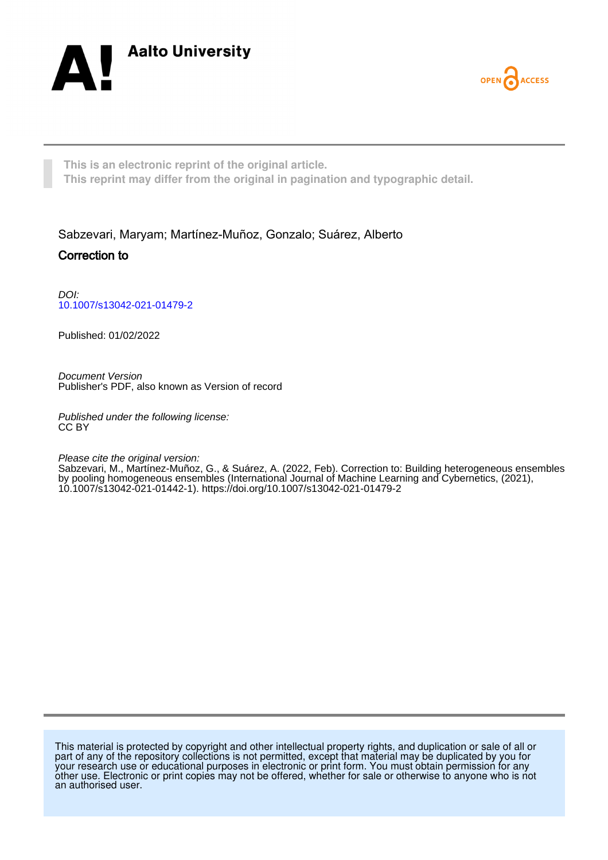



**This is an electronic reprint of the original article. This reprint may differ from the original in pagination and typographic detail.**

Sabzevari, Maryam; Martínez-Muñoz, Gonzalo; Suárez, Alberto Correction to

DOI: [10.1007/s13042-021-01479-2](https://doi.org/10.1007/s13042-021-01479-2)

Published: 01/02/2022

Document Version Publisher's PDF, also known as Version of record

Published under the following license: CC BY

Please cite the original version:

Sabzevari, M., Martínez-Muñoz, G., & Suárez, A. (2022, Feb). Correction to: Building heterogeneous ensembles by pooling homogeneous ensembles (International Journal of Machine Learning and Cybernetics, (2021), 10.1007/s13042-021-01442-1). <https://doi.org/10.1007/s13042-021-01479-2>

This material is protected by copyright and other intellectual property rights, and duplication or sale of all or part of any of the repository collections is not permitted, except that material may be duplicated by you for your research use or educational purposes in electronic or print form. You must obtain permission for any other use. Electronic or print copies may not be offered, whether for sale or otherwise to anyone who is not an authorised user.